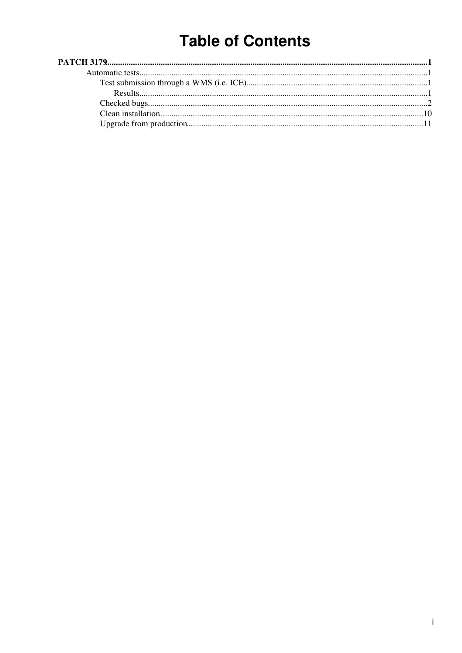# **Table of Contents**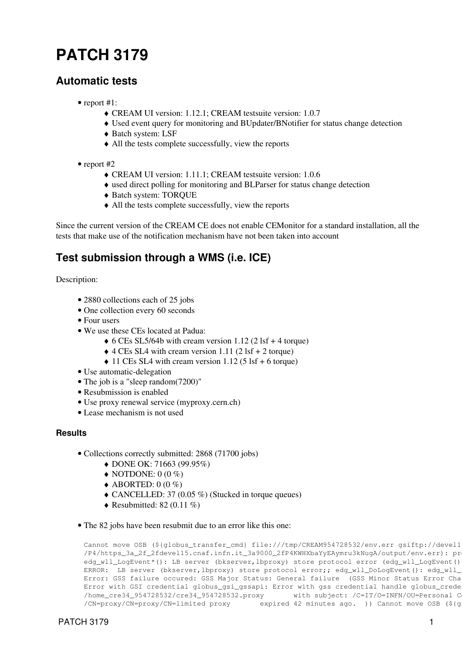# <span id="page-1-0"></span>**[PATCH 3179](https://savannah.cern.ch/patch/index.php?3179)**

## <span id="page-1-1"></span>**Automatic tests**

- report #1:
	- ♦ CREAM UI version: 1.12.1; CREAM testsuite version: 1.0.7
	- ♦ Used event query for monitoring and BUpdater/BNotifier for status change detection
	- ♦ Batch system: LSF
	- ♦ All the tests complete successfully, view the [reports](https://wiki-igi.cnaf.infn.it/twiki/pub/EgeeJra1It/CreamTestsP3179/reports_patch3179_01.tar.gz)
- report #2
	- ♦ CREAM UI version: 1.11.1; CREAM testsuite version: 1.0.6
	- ♦ used direct polling for monitoring and BLParser for status change detection
	- ♦ Batch system: TORQUE
	- ♦ All the tests complete successfully, view the [reports](https://wiki-igi.cnaf.infn.it/twiki/pub/EgeeJra1It/CreamTestsP3179/reports_patch3179_02.tar.gz)

Since the current version of the CREAM CE does not enable CEMonitor for a standard installation, all the tests that make use of the notification mechanism have not been taken into account

# <span id="page-1-2"></span>**Test submission through a WMS (i.e. ICE)**

Description:

- 2880 collections each of 25 jobs
- One collection every 60 seconds
- Four users
- We use these CEs located at Padua:
	- $\triangle$  6 CEs SL5/64b with cream version 1.12 (2 lsf + 4 torque)
	- $\triangle$  4 CEs SL4 with cream version 1.11 (2 lsf + 2 torque)
	- $\triangle$  11 CEs SL4 with cream version 1.12 (5 lsf + 6 torque)
- Use automatic-delegation
- The job is a "sleep random(7200)"
- Resubmission is enabled
- Use proxy renewal service (myproxy.cern.ch)
- Lease mechanism is not used

#### <span id="page-1-3"></span>**Results**

- Collections correctly submitted: 2868 (71700 jobs)
	- ♦ DONE OK: 71663 (99.95%)
	- $\blacklozenge$  NOTDONE: 0 (0 %)
	- $\triangle$  ABORTED: 0 (0 %)
	- $\triangle$  CANCELLED: 37 (0.05 %) (Stucked in torque queues)
	- $\triangleleft$  Resubmitted: 82 (0.11 %)
- The 82 jobs have been resubmit due to an error like this one:

```
Cannot move OSB (${globus_transfer_cmd} file:///tmp/CREAM954728532/env.err gsiftp://devel1
/P4/https_3a_2f_2fdevel15.cnaf.infn.it_3a9000_2fP4KWHXbaYyEAymru3kNugA/output/env.err): pr
edg_wll_LogEvent*(): LB server (bkserver,lbproxy) store protocol error (edg_wll_LogEvent()
ERROR: LB server (bkserver, lbproxy) store protocol error;; edg_wll_DoLogEvent(): edg_wll_
Error: GSS failure occured: GSS Major Status: General failure (GSS Minor Status Error Cha
Error with GSI credential globus_gsi_gssapi: Error with gss credential handle globus_crede
/home_cre34_954728532/cre34_954728532.proxy with subject: /C=IT/O=INFN/OU=Personal C
/CN=proxy/CN=proxy/CN=limited proxy expired 42 minutes ago. )) Cannot move OSB (${g
```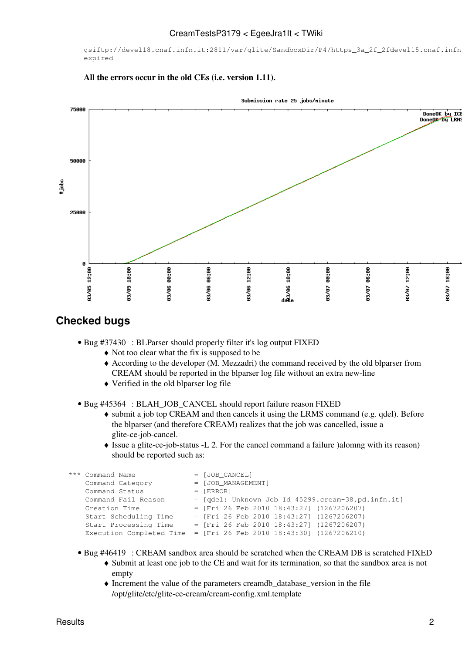gsiftp://devel18.cnaf.infn.it:2811/var/glite/SandboxDir/P4/https\_3a\_2f\_2fdevel15.cnaf.infn expired

**All the errors occur in the old CEs (i.e. version 1.11).**



### <span id="page-2-0"></span>**Checked bugs**

- Bug [#37430](https://savannah.cern.ch/bugs/?37430) : BLParser should properly filter it's log output FIXED
	- ♦ Not too clear what the fix is supposed to be
	- According to the developer (M. Mezzadri) the command received by the old blparser from ♦ CREAM should be reported in the blparser log file without an extra new-line
	- ♦ Verified in the old blparser log file
- Bug [#45364](https://savannah.cern.ch/bugs/?45364) : BLAH\_JOB\_CANCEL should report failure reason FIXED
	- submit a job top CREAM and then cancels it using the LRMS command (e.g. qdel). Before ♦ the blparser (and therefore CREAM) realizes that the job was cancelled, issue a glite-ce-job-cancel.
	- Issue a glite-ce-job-status -L 2. For the cancel command a failure )alomng with its reason) ♦ should be reported such as:

```
*** Command Name = [JOB CANCEL]
    Command Category = [JOB_MANAGEMENT]
   Command Status = [ERROR]
    Command Fail Reason = [qdel: Unknown Job Id 45299.cream-38.pd.infn.it]
   Creation Time = [Fri 26 Feb 2010 18:43:27] (1267206207)
    Start Scheduling Time = [Fri 26 Feb 2010 18:43:27] (1267206207)
   Start Processing Time = [Fit 26 Feb 2010 18:43:27] (1267206207) Execution Completed Time = [Fri 26 Feb 2010 18:43:30] (1267206210)
```
- Bug [#46419](https://savannah.cern.ch/bugs/?46419) : CREAM sandbox area should be scratched when the CREAM DB is scratched FIXED
	- Submit at least one job to the CE and wait for its termination, so that the sandbox area is not ♦ empty
	- Increment the value of the parameters creamdb\_database\_version in the file ♦ /opt/glite/etc/glite-ce-cream/cream-config.xml.template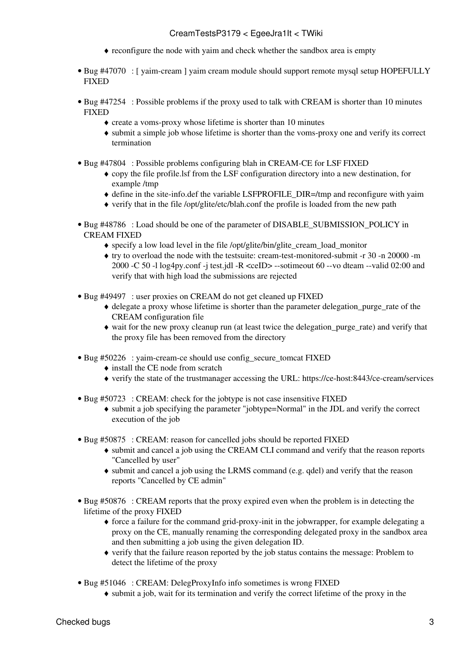- ♦ reconfigure the node with yaim and check whether the sandbox area is empty
- Bug [#47070](https://savannah.cern.ch/bugs/?47070) : [ yaim-cream ] yaim cream module should support remote mysql setup HOPEFULLY **FIXED**
- Bug [#47254](https://savannah.cern.ch/bugs/?47254) : Possible problems if the proxy used to talk with CREAM is shorter than 10 minutes FIXED
	- ♦ create a voms-proxy whose lifetime is shorter than 10 minutes
	- submit a simple job whose lifetime is shorter than the voms-proxy one and verify its correct ♦ termination
- Bug [#47804](https://savannah.cern.ch/bugs/?47804) : Possible problems configuring blah in CREAM-CE for LSF FIXED
	- copy the file profile.lsf from the LSF configuration directory into a new destination, for ♦ example /tmp
	- ♦ define in the site-info.def the variable LSFPROFILE\_DIR=/tmp and reconfigure with yaim
	- ♦ verify that in the file /opt/glite/etc/blah.conf the profile is loaded from the new path
- Bug [#48786](https://savannah.cern.ch/bugs/?48786) : Load should be one of the parameter of DISABLE\_SUBMISSION\_POLICY in CREAM FIXED
	- $\triangle$  specify a low load level in the file /opt/glite/bin/glite cream load monitor
	- try to overload the node with the testsuite: cream-test-monitored-submit -r 30 -n 20000 -m ♦ 2000 -C 50 -l log4py.conf -j test.jdl -R <ceID> --sotimeout 60 --vo dteam --valid 02:00 and verify that with high load the submissions are rejected
- Bug [#49497](https://savannah.cern.ch/bugs/?49497) : user proxies on CREAM do not get cleaned up FIXED
	- delegate a proxy whose lifetime is shorter than the parameter delegation\_purge\_rate of the ♦ CREAM configuration file
	- wait for the new proxy cleanup run (at least twice the delegation\_purge\_rate) and verify that ♦ the proxy file has been removed from the directory
- Bug [#50226](https://savannah.cern.ch/bugs/?50226) : yaim-cream-ce should use config\_secure\_tomcat FIXED
	- ♦ install the CE node from scratch
	- ♦ verify the state of the trustmanager accessing the URL: https://ce-host:8443/ce-cream/services
- Bug [#50723](https://savannah.cern.ch/bugs/?50723) : CREAM: check for the jobtype is not case insensitive FIXED
	- submit a job specifying the parameter "jobtype=Normal" in the JDL and verify the correct ♦ execution of the job
- Bug [#50875](https://savannah.cern.ch/bugs/?50875) : CREAM: reason for cancelled jobs should be reported FIXED
	- submit and cancel a job using the CREAM CLI command and verify that the reason reports ♦ "Cancelled by user"
	- submit and cancel a job using the LRMS command (e.g. qdel) and verify that the reason ♦ reports "Cancelled by CE admin"
- Bug [#50876](https://savannah.cern.ch/bugs/?50876) : CREAM reports that the proxy expired even when the problem is in detecting the lifetime of the proxy FIXED
	- force a failure for the command grid-proxy-init in the jobwrapper, for example delegating a ♦ proxy on the CE, manually renaming the corresponding delegated proxy in the sandbox area and then submitting a job using the given delegation ID.
	- verify that the failure reason reported by the job status contains the message: Problem to ♦ detect the lifetime of the proxy
- Bug [#51046](https://savannah.cern.ch/bugs/?51046) : CREAM: DelegProxyInfo info sometimes is wrong FIXED
	- ♦ submit a job, wait for its termination and verify the correct lifetime of the proxy in the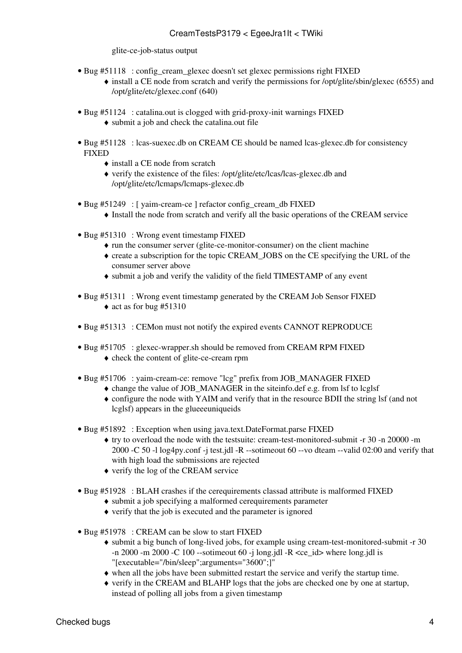glite-ce-job-status output

- Bug [#51118](https://savannah.cern.ch/bugs/?51118) : config\_cream\_glexec doesn't set glexec permissions right FIXED
	- install a CE node from scratch and verify the permissions for /opt/glite/sbin/glexec (6555) and /opt/glite/etc/glexec.conf (640)
- Bug [#51124](https://savannah.cern.ch/bugs/?51124) : catalina.out is clogged with grid-proxy-init warnings FIXED
	- ♦ submit a job and check the catalina.out file
- Bug [#51128](https://savannah.cern.ch/bugs/?51128) : lcas-suexec.db on CREAM CE should be named lcas-glexec.db for consistency FIXED
	- ♦ install a CE node from scratch
	- verify the existence of the files: /opt/glite/etc/lcas/lcas-glexec.db and ♦ /opt/glite/etc/lcmaps/lcmaps-glexec.db
- Bug [#51249](https://savannah.cern.ch/bugs/?51249) : [ yaim-cream-ce ] refactor config\_cream\_db FIXED
	- ♦ Install the node from scratch and verify all the basic operations of the CREAM service
- Bug [#51310](https://savannah.cern.ch/bugs/?51310) : Wrong event timestamp FIXED
	- ♦ run the consumer server (glite-ce-monitor-consumer) on the client machine
	- create a subscription for the topic CREAM\_JOBS on the CE specifying the URL of the ♦ consumer server above
	- ♦ submit a job and verify the validity of the field TIMESTAMP of any event
- Bug [#51311](https://savannah.cern.ch/bugs/?51311) : Wrong event timestamp generated by the CREAM Job Sensor FIXED  $\triangle$  act as for bug [#51310](https://savannah.cern.ch/bugs/?51310)
- Bug [#51313](https://savannah.cern.ch/bugs/?51313) : CEMon must not notify the expired events CANNOT REPRODUCE
- Bug [#51705](https://savannah.cern.ch/bugs/?51705) : glexec-wrapper.sh should be removed from CREAM RPM FIXED ♦ check the content of glite-ce-cream rpm
- Bug [#51706](https://savannah.cern.ch/bugs/?51706) : yaim-cream-ce: remove "lcg" prefix from JOB\_MANAGER FIXED
	- ♦ change the value of JOB\_MANAGER in the siteinfo.def e.g. from lsf to lcglsf
		- configure the node with YAIM and verify that in the resource BDII the string lsf (and not ♦ lcglsf) appears in the glueeeuniqueids
- Bug [#51892](https://savannah.cern.ch/bugs/?51892) : Exception when using java.text.DateFormat.parse FIXED
	- try to overload the node with the testsuite: cream-test-monitored-submit -r 30 -n 20000 -m ♦ 2000 -C 50 -l log4py.conf -j test.jdl -R --sotimeout 60 --vo dteam --valid 02:00 and verify that with high load the submissions are rejected
	- ♦ verify the log of the CREAM service
- Bug [#51928](https://savannah.cern.ch/bugs/?51928) : BLAH crashes if the cerequirements classad attribute is malformed FIXED
	- ♦ submit a job specifying a malformed cerequirements parameter
	- ♦ verify that the job is executed and the parameter is ignored
- Bug [#51978](https://savannah.cern.ch/bugs/?51978) : CREAM can be slow to start FIXED
	- submit a big bunch of long-lived jobs, for example using cream-test-monitored-submit -r 30 ♦ -n 2000 -m 2000 -C 100 --sotimeout 60 -j long.jdl -R  $\lt$ ce id $gt$  where long.jdl is "[executable="/bin/sleep";arguments="3600";]"
	- ♦ when all the jobs have been submitted restart the service and verify the startup time.
	- verify in the CREAM and BLAHP logs that the jobs are checked one by one at startup, ♦ instead of polling all jobs from a given timestamp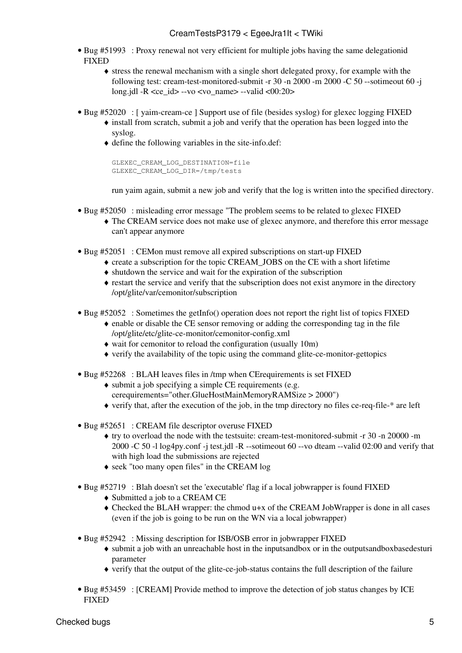- Bug [#51993](https://savannah.cern.ch/bugs/?51993) : Proxy renewal not very efficient for multiple jobs having the same delegationid FIXED
	- stress the renewal mechanism with a single short delegated proxy, for example with the ♦ following test: cream-test-monitored-submit -r 30 -n 2000 -m 2000 -C 50 --sotimeout 60 -j long.jdl -R  $\langle$ ce  $id$ > --vo  $\langle$ vo name> --valid  $\langle 00:20 \rangle$
- Bug [#52020](https://savannah.cern.ch/bugs/?52020) : [ yaim-cream-ce ] Support use of file (besides syslog) for glexec logging FIXED
	- install from scratch, submit a job and verify that the operation has been logged into the ♦ syslog.
	- define the following variables in the site-info.def: ♦

```
GLEXEC_CREAM_LOG_DESTINATION=file
GLEXEC_CREAM_LOG_DIR=/tmp/tests
```
run yaim again, submit a new job and verify that the log is written into the specified directory.

- Bug [#52050](https://savannah.cern.ch/bugs/?52050) : misleading error message "The problem seems to be related to glexec FIXED
	- The CREAM service does not make use of glexec anymore, and therefore this error message ♦ can't appear anymore
- Bug [#52051](https://savannah.cern.ch/bugs/?52051) : CEMon must remove all expired subscriptions on start-up FIXED
	- ♦ create a subscription for the topic CREAM\_JOBS on the CE with a short lifetime
	- $\bullet$  shutdown the service and wait for the expiration of the subscription
	- restart the service and verify that the subscription does not exist anymore in the directory ♦ /opt/glite/var/cemonitor/subscription
- Bug [#52052](https://savannah.cern.ch/bugs/?52052) : Sometimes the getInfo() operation does not report the right list of topics FIXED
	- enable or disable the CE sensor removing or adding the corresponding tag in the file ♦ /opt/glite/etc/glite-ce-monitor/cemonitor-config.xml
	- ♦ wait for cemonitor to reload the configuration (usually 10m)
	- ♦ verify the availability of the topic using the command glite-ce-monitor-gettopics
- Bug [#52268](https://savannah.cern.ch/bugs/?52268) : BLAH leaves files in /tmp when CErequirements is set FIXED
	- submit a job specifying a simple CE requirements (e.g. ♦ cerequirements="other.GlueHostMainMemoryRAMSize > 2000")
	- ♦ verify that, after the execution of the job, in the tmp directory no files ce-req-file-\* are left
- Bug [#52651](https://savannah.cern.ch/bugs/?52651) : CREAM file descriptor overuse FIXED
	- try to overload the node with the testsuite: cream-test-monitored-submit -r 30 -n 20000 -m ♦ 2000 -C 50 -l log4py.conf -j test.jdl -R --sotimeout 60 --vo dteam --valid 02:00 and verify that with high load the submissions are rejected
	- ♦ seek "too many open files" in the CREAM log
- Bug [#52719](https://savannah.cern.ch/bugs/?52719) : Blah doesn't set the 'executable' flag if a local jobwrapper is found FIXED
	- ♦ Submitted a job to a CREAM CE
	- Checked the BLAH wrapper: the chmod u+x of the CREAM [JobWrapper](https://wiki-igi.cnaf.infn.it/twiki/bin/edit/EgeeJra1It/JobWrapper?topicparent=EgeeJra1It.CreamTestsP3179;nowysiwyg=0) is done in all cases ♦ (even if the job is going to be run on the WN via a local jobwrapper)
- Bug [#52942](https://savannah.cern.ch/bugs/?52942) : Missing description for ISB/OSB error in jobwrapper FIXED
	- submit a job with an unreachable host in the inputsandbox or in the outputsandboxbasedesturi ♦ parameter
	- ♦ verify that the output of the glite-ce-job-status contains the full description of the failure
- Bug [#53459](https://savannah.cern.ch/bugs/?53459) : [CREAM] Provide method to improve the detection of job status changes by ICE **FIXED**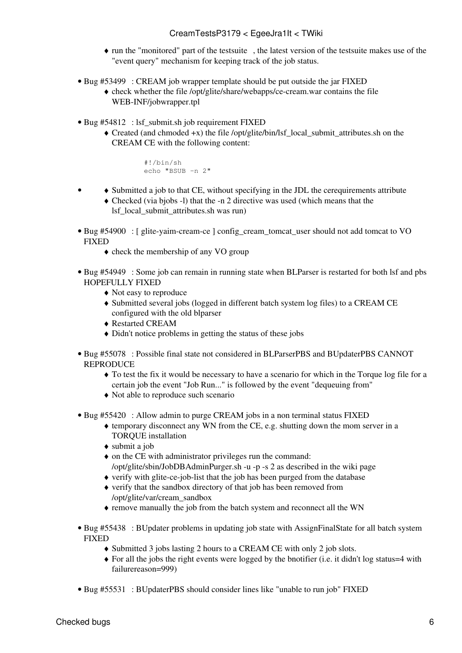- run the "monitored" part of the [testsuite](https://twiki.cnaf.infn.it/twiki/bin/view/EgeeJra1It/CreamWorkPlan) , the latest version of the testsuite makes use of the ♦ "event query" mechanism for keeping track of the job status.
- Bug [#53499](https://savannah.cern.ch/bugs/?53499) : CREAM job wrapper template should be put outside the jar FIXED check whether the file /opt/glite/share/webapps/ce-cream.war contains the file ♦
	- WEB-INF/jobwrapper.tpl
- Bug [#54812](https://savannah.cern.ch/bugs/?54812) : lsf\_submit.sh job requirement FIXED
	- Created (and chmoded +x) the file /opt/glite/bin/lsf\_local\_submit\_attributes.sh on the ♦ CREAM CE with the following content:

```
 #!/bin/sh
 echo "BSUB -n 2"
```
- ♦ Submitted a job to that CE, without specifying in the JDL the cerequirements attribute Checked (via bjobs -l) that the -n 2 directive was used (which means that the ♦ lsf\_local\_submit\_attributes.sh was run) •
- Bug [#54900](https://savannah.cern.ch/bugs/?54900) : [ glite-yaim-cream-ce ] config\_cream\_tomcat\_user should not add tomcat to VO FIXED
	- ♦ check the membership of any VO group
- Bug [#54949](https://savannah.cern.ch/bugs/?54949) : Some job can remain in running state when BLParser is restarted for both lsf and pbs HOPEFULLY FIXED
	- ♦ Not easy to reproduce
	- Submitted several jobs (logged in different batch system log files) to a CREAM CE ♦ configured with the old blparser
	- ♦ Restarted CREAM
	- ♦ Didn't notice problems in getting the status of these jobs
- Bug [#55078](https://savannah.cern.ch/bugs/?55078) : Possible final state not considered in BLParserPBS and BUpdaterPBS CANNOT **REPRODUCE** 
	- To test the fix it would be necessary to have a scenario for which in the Torque log file for a ♦ certain job the event "Job Run..." is followed by the event "dequeuing from"
	- ♦ Not able to reproduce such scenario
- Bug [#55420](https://savannah.cern.ch/bugs/?55420) : Allow admin to purge CREAM jobs in a non terminal status FIXED
	- temporary disconnect any WN from the CE, e.g. shutting down the mom server in a ♦ TORQUE installation
	- ♦ submit a job
	- on the CE with administrator privileges run the command: ♦ /opt/glite/sbin/JobDBAdminPurger.sh -u -p -s 2 as described in the [wiki page](http://grid.pd.infn.it/cream/field.php?n=Main.HowToPurgeJobsFromTheCREAMDB)
	- ♦ verify with glite-ce-job-list that the job has been purged from the database
	- verify that the sandbox directory of that job has been removed from ♦ /opt/glite/var/cream\_sandbox
	- ♦ remove manually the job from the batch system and reconnect all the WN
- Bug [#55438](https://savannah.cern.ch/bugs/?55438) : BUpdater problems in updating job state with AssignFinalState for all batch system FIXED
	- ♦ Submitted 3 jobs lasting 2 hours to a CREAM CE with only 2 job slots.
	- For all the jobs the right events were logged by the bnotifier (i.e. it didn't log status=4 with ♦ failurereason=999)
- Bug [#55531](https://savannah.cern.ch/bugs/?55531) : BUpdaterPBS should consider lines like "unable to run job" FIXED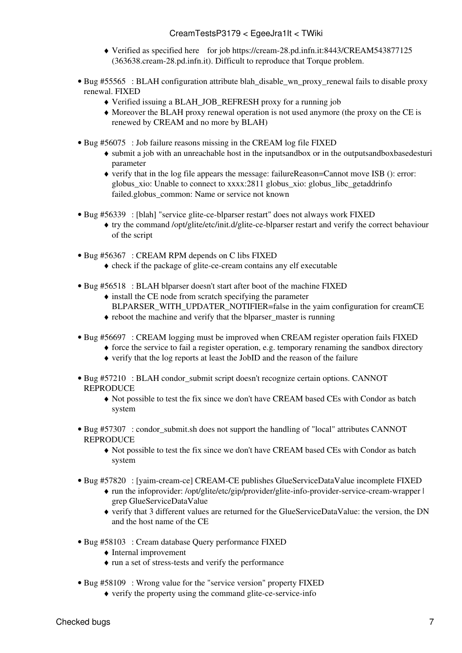- Verified as specified [here](https://savannah.cern.ch/bugs/index.php?55531#comment1) for job<https://cream-28.pd.infn.it:8443/CREAM543877125> ♦ (363638.cream-28.pd.infn.it). Difficult to reproduce that Torque problem.
- Bug [#55565](https://savannah.cern.ch/bugs/?55565) : BLAH configuration attribute blah\_disable\_wn\_proxy\_renewal fails to disable proxy renewal. FIXED
	- ♦ Verified issuing a BLAH\_JOB\_REFRESH proxy for a running job
	- Moreover the BLAH proxy renewal operation is not used anymore (the proxy on the CE is ♦ renewed by CREAM and no more by BLAH)
- Bug [#56075](https://savannah.cern.ch/bugs/?56075) : Job failure reasons missing in the CREAM log file FIXED
	- submit a job with an unreachable host in the inputsandbox or in the outputsandboxbasedesturi ♦ parameter
	- verify that in the log file appears the message: failureReason=Cannot move ISB (): error: ♦ globus\_xio: Unable to connect to xxxx:2811 globus\_xio: globus\_libc\_getaddrinfo failed.globus\_common: Name or service not known
- Bug [#56339](https://savannah.cern.ch/bugs/?56339) : [blah] "service glite-ce-blparser restart" does not always work FIXED
	- try the command /opt/glite/etc/init.d/glite-ce-blparser restart and verify the correct behaviour ♦ of the script
- Bug [#56367](https://savannah.cern.ch/bugs/?56367) : CREAM RPM depends on C libs FIXED
	- ♦ check if the package of glite-ce-cream contains any elf executable
- Bug [#56518](https://savannah.cern.ch/bugs/?56518) : BLAH blparser doesn't start after boot of the machine FIXED
	- $\bullet$  install the CE node from scratch specifying the parameter
	- BLPARSER\_WITH\_UPDATER\_NOTIFIER=false in the yaim configuration for creamCE
	- ♦ reboot the machine and verify that the blparser\_master is running
- Bug [#56697](https://savannah.cern.ch/bugs/?56697) : CREAM logging must be improved when CREAM register operation fails FIXED
	- $\triangle$  force the service to fail a register operation, e.g. temporary renaming the sandbox directory
		- ♦ verify that the log reports at least the JobID and the reason of the failure
- Bug [#57210](https://savannah.cern.ch/bugs/?57210) : BLAH condor\_submit script doesn't recognize certain options. CANNOT **REPRODUCE** 
	- Not possible to test the fix since we don't have CREAM based CEs with Condor as batch ♦ system
- Bug [#57307](https://savannah.cern.ch/bugs/?57307) : condor\_submit.sh does not support the handling of "local" attributes CANNOT **REPRODUCE** 
	- Not possible to test the fix since we don't have CREAM based CEs with Condor as batch ♦ system
- Bug [#57820](https://savannah.cern.ch/bugs/?57820) : [yaim-cream-ce] CREAM-CE publishes GlueServiceDataValue incomplete FIXED
	- run the infoprovider: /opt/glite/etc/gip/provider/glite-info-provider-service-cream-wrapper | ♦ grep [GlueServiceDataValue](https://wiki-igi.cnaf.infn.it/twiki/bin/edit/EgeeJra1It/GlueServiceDataValue?topicparent=EgeeJra1It.CreamTestsP3179;nowysiwyg=0)
	- verify that 3 different values are returned for the [GlueServiceDataValue:](https://wiki-igi.cnaf.infn.it/twiki/bin/edit/EgeeJra1It/GlueServiceDataValue?topicparent=EgeeJra1It.CreamTestsP3179;nowysiwyg=0) the version, the DN ♦ and the host name of the CE
- Bug [#58103](https://savannah.cern.ch/bugs/?58103) : Cream database Query performance FIXED
	- ♦ Internal improvement
	- ♦ run a set of stress-tests and verify the performance
- Bug [#58109](https://savannah.cern.ch/bugs/?58109) : Wrong value for the "service version" property FIXED
	- ♦ verify the property using the command glite-ce-service-info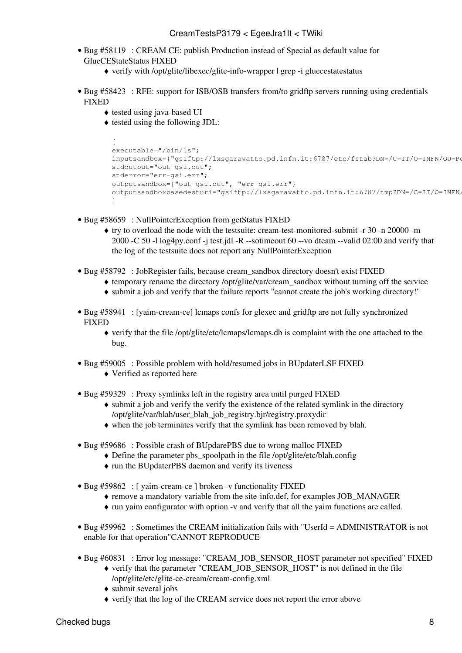- Bug [#58119](https://savannah.cern.ch/bugs/?58119) : CREAM CE: publish Production instead of Special as default value for GlueCEStateStatus FIXED
	- ♦ verify with /opt/glite/libexec/glite-info-wrapper | grep -i gluecestatestatus
- Bug [#58423](https://savannah.cern.ch/bugs/?58423) : RFE: support for ISB/OSB transfers from/to gridftp servers running using credentials FIXED
	- ♦ tested using java-based UI
	- $\bullet$  tested using the following JDL:

```
\Gammaexecutable="/bin/ls";
inputsandbox={"gsiftp://lxsgaravatto.pd.infn.it:6787/etc/fstab?DN=/C=IT/O=INFN/OU=Pe
stdoutput="out-gsi.out";
stderror="err-gsi.err";
outputsandbox={"out-gsi.out", "err-gsi.err"}
outputsandboxbasedesturi="gsiftp://lxsgaravatto.pd.infn.it:6787/tmp?DN=/C=IT/O=INFN,
]
```
- Bug [#58659](https://savannah.cern.ch/bugs/?58659) : NullPointerException from getStatus FIXED
	- try to overload the node with the testsuite: cream-test-monitored-submit -r 30 -n 20000 -m ♦ 2000 -C 50 -l log4py.conf -j test.jdl -R --sotimeout 60 --vo dteam --valid 02:00 and verify that the log of the testsuite does not report any NullPointerException
- Bug [#58792](https://savannah.cern.ch/bugs/?58792) : JobRegister fails, because cream\_sandbox directory doesn't exist FIXED
	- ♦ temporary rename the directory /opt/glite/var/cream\_sandbox without turning off the service
	- ♦ submit a job and verify that the failure reports "cannot create the job's working directory!"
- Bug [#58941](https://savannah.cern.ch/bugs/?58941) : [yaim-cream-ce] lcmaps confs for glexec and gridftp are not fully synchronized **FIXED** 
	- verify that the file /opt/glite/etc/lcmaps/lcmaps.db is complaint with the one attached to the ♦ bug.
- Bug [#59005](https://savannah.cern.ch/bugs/?59005) : Possible problem with hold/resumed jobs in BUpdaterLSF FIXED
	- ♦ Verified as reported [here](https://savannah.cern.ch/bugs/index.php?59005#comment2)
- Bug [#59329](https://savannah.cern.ch/bugs/?59329) : Proxy symlinks left in the registry area until purged FIXED
	- submit a job and verify the verify the existence of the related symlink in the directory ♦ /opt/glite/var/blah/user\_blah\_job\_registry.bjr/registry.proxydir
	- ♦ when the job terminates verify that the symlink has been removed by blah.
- Bug [#59686](https://savannah.cern.ch/bugs/?59686) : Possible crash of BUpdarePBS due to wrong malloc FIXED
	- ♦ Define the parameter pbs\_spoolpath in the file /opt/glite/etc/blah.config
	- ♦ run the [BUpdaterPBS](https://wiki-igi.cnaf.infn.it/twiki/bin/edit/EgeeJra1It/BUpdaterPBS?topicparent=EgeeJra1It.CreamTestsP3179;nowysiwyg=0) daemon and verify its liveness
- Bug [#59862](https://savannah.cern.ch/bugs/?59862) : [ yaim-cream-ce ] broken -v functionality FIXED
	- ♦ remove a mandatory variable from the site-info.def, for examples JOB\_MANAGER
	- ♦ run yaim configurator with option -v and verify that all the yaim functions are called.
- Bug [#59962](https://savannah.cern.ch/bugs/?59962) : Sometimes the CREAM initialization fails with "UserId = ADMINISTRATOR is not enable for that operation"CANNOT REPRODUCE
- Bug [#60831](https://savannah.cern.ch/bugs/?60831) : Error log message: "CREAM\_JOB\_SENSOR\_HOST parameter not specified" FIXED
	- verify that the parameter "CREAM\_JOB\_SENSOR\_HOST" is not defined in the file ♦ /opt/glite/etc/glite-ce-cream/cream-config.xml
	- ♦ submit several jobs
	- ♦ verify that the log of the CREAM service does not report the error above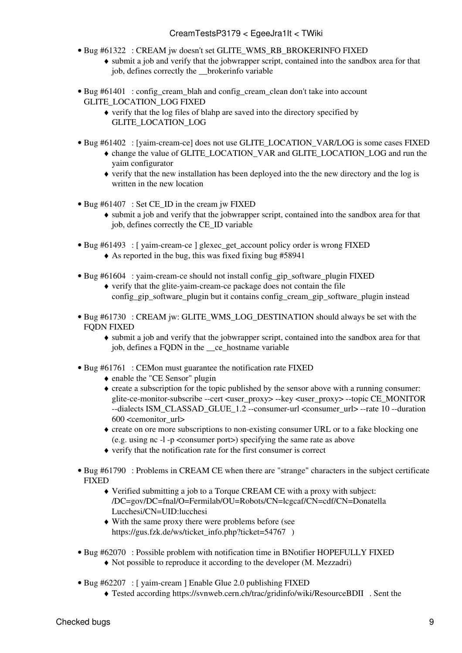- Bug [#61322](https://savannah.cern.ch/bugs/?61322) : CREAM jw doesn't set GLITE\_WMS\_RB\_BROKERINFO FIXED
	- submit a job and verify that the jobwrapper script, contained into the sandbox area for that ♦ job, defines correctly the \_\_brokerinfo variable
- Bug [#61401](https://savannah.cern.ch/bugs/?61401) : config\_cream\_blah and config\_cream\_clean don't take into account GLITE\_LOCATION\_LOG FIXED
	- verify that the log files of blahp are saved into the directory specified by ♦ GLITE\_LOCATION\_LOG
- Bug [#61402](https://savannah.cern.ch/bugs/?61402) : [yaim-cream-ce] does not use GLITE\_LOCATION\_VAR/LOG is some cases FIXED
	- change the value of GLITE\_LOCATION\_VAR and GLITE\_LOCATION\_LOG and run the ♦ yaim configurator
	- verify that the new installation has been deployed into the the new directory and the log is ♦ written in the new location
- Bug [#61407](https://savannah.cern.ch/bugs/?61407) : Set CE\_ID in the cream jw FIXED
	- submit a job and verify that the jobwrapper script, contained into the sandbox area for that ♦ job, defines correctly the CE\_ID variable
- Bug [#61493](https://savannah.cern.ch/bugs/?61493) : [ yaim-cream-ce ] glexec\_get\_account policy order is wrong FIXED ♦ As reported in the bug, this was fixed fixing bug #58941
- 
- Bug [#61604](https://savannah.cern.ch/bugs/?61604) : yaim-cream-ce should not install config\_gip\_software\_plugin FIXED verify that the glite-yaim-cream-ce package does not contain the file ♦ config\_gip\_software\_plugin but it contains config\_cream\_gip\_software\_plugin instead
- Bug [#61730](https://savannah.cern.ch/bugs/?61730) : CREAM jw: GLITE\_WMS\_LOG\_DESTINATION should always be set with the FODN FIXED
	- submit a job and verify that the jobwrapper script, contained into the sandbox area for that ♦ job, defines a FQDN in the \_\_ce\_hostname variable
- Bug [#61761](https://savannah.cern.ch/bugs/?61761) : CEMon must guarantee the notification rate FIXED
	- ♦ enable the "CE Sensor" plugin
	- create a subscription for the topic published by the sensor above with a running consumer: ♦ glite-ce-monitor-subscribe --cert <user\_proxy> --key <user\_proxy> --topic CE\_MONITOR --dialects ISM\_CLASSAD\_GLUE\_1.2 --consumer-url <consumer\_url> --rate 10 --duration 600 <cemonitor\_url>
	- create on ore more subscriptions to non-existing consumer URL or to a fake blocking one ♦ (e.g. using nc -l -p <consumer port>) specifying the same rate as above
	- ♦ verify that the notification rate for the first consumer is correct
- Bug [#61790](https://savannah.cern.ch/bugs/?61790) : Problems in CREAM CE when there are "strange" characters in the subject certificate **FIXED** 
	- Verified submitting a job to a Torque CREAM CE with a proxy with subject: ♦ /DC=gov/DC=fnal/O=Fermilab/OU=Robots/CN=lcgcaf/CN=cdf/CN=Donatella Lucchesi/CN=UID:lucchesi
	- With the same proxy there were problems before (see ♦ https://gus.fzk.de/ws/ticket info.php?ticket=54767 )
- Bug [#62070](https://savannah.cern.ch/bugs/?62070) : Possible problem with notification time in BNotifier HOPEFULLY FIXED
	- ♦ Not possible to reproduce it according to the developer (M. Mezzadri)
- Bug [#62207](https://savannah.cern.ch/bugs/?62207) : [ yaim-cream ] Enable Glue 2.0 publishing FIXED
	- ♦ Tested according<https://svnweb.cern.ch/trac/gridinfo/wiki/ResourceBDII> . Sent the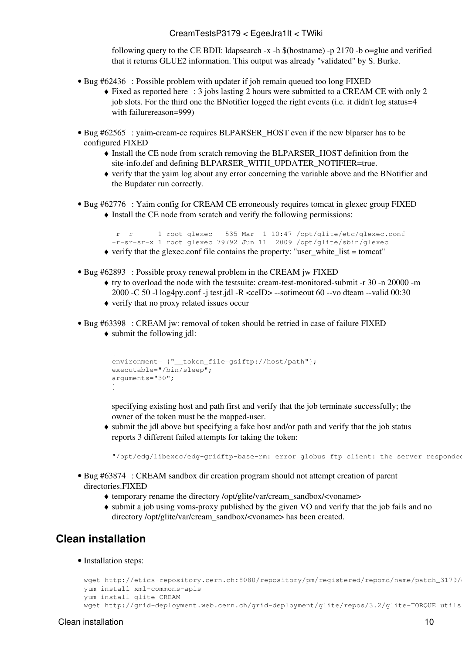following query to the CE BDII: ldapsearch -x -h \$(hostname) -p 2170 -b o=glue and verified that it returns GLUE2 information. This output was already "validated" by S. Burke.

- Bug [#62436](https://savannah.cern.ch/bugs/?62436) : Possible problem with updater if job remain queued too long FIXED
	- Fixed as reported [here](https://savannah.cern.ch/bugs/?62436#comment1) : 3 jobs lasting 2 hours were submitted to a CREAM CE with only 2 ♦ job slots. For the third one the BNotifier logged the right events (i.e. it didn't log status=4 with failurereason=999)
- Bug [#62565](https://savannah.cern.ch/bugs/?62565) : yaim-cream-ce requires BLPARSER\_HOST even if the new blparser has to be configured FIXED
	- Install the CE node from scratch removing the BLPARSER\_HOST definition from the ♦ site-info.def and defining BLPARSER\_WITH\_UPDATER\_NOTIFIER=true.
	- verify that the yaim log about any error concerning the variable above and the BNotifier and ♦ the Bupdater run correctly.
- Bug [#62776](https://savannah.cern.ch/bugs/?62776) : Yaim config for CREAM CE erroneously requires tomcat in glexec group FIXED • Install the CE node from scratch and verify the following permissions:

-r--r----- 1 root glexec 535 Mar 1 10:47 /opt/glite/etc/glexec.conf -r-sr-sr-x 1 root glexec 79792 Jun 11 2009 /opt/glite/sbin/glexec

- $\blacklozenge$  verify that the glexec.conf file contains the property: "user\_white\_list = tomcat"
- Bug [#62893](https://savannah.cern.ch/bugs/?62893) : Possible proxy renewal problem in the CREAM jw FIXED
	- try to overload the node with the testsuite: cream-test-monitored-submit -r 30 -n 20000 -m ♦ 2000 -C 50 -l log4py.conf -j test.jdl -R <ceID> --sotimeout 60 --vo dteam --valid 00:30
	- ♦ verify that no proxy related issues occur
- Bug [#63398](https://savannah.cern.ch/bugs/?63398) : CREAM jw: removal of token should be retried in case of failure FIXED
	- submit the following jdl: ♦

```
\sqrt{2}environment= {"__token_file=gsiftp://host/path"};
executable="/bin/sleep";
arguments="30";
]
```
specifying existing host and path first and verify that the job terminate successfully; the owner of the token must be the mapped-user.

submit the jdl above but specifying a fake host and/or path and verify that the job status ♦ reports 3 different failed attempts for taking the token:

"/opt/edg/libexec/edg-gridftp-base-rm: error globus\_ftp\_client: the server responded

- Bug [#63874](https://savannah.cern.ch/bugs/?63874) : CREAM sandbox dir creation program should not attempt creation of parent directories.FIXED
	- ♦ temporary rename the directory /opt/glite/var/cream\_sandbox/<voname>
	- submit a job using voms-proxy published by the given VO and verify that the job fails and no ♦ directory /opt/glite/var/cream\_sandbox/<voname> has been created.

### <span id="page-10-0"></span>**Clean installation**

• Installation steps:

```
wget http://etics-repository.cern.ch:8080/repository/pm/registered/repomd/name/patch_3179/
yum install xml-commons-apis
yum install glite-CREAM
wget http://grid-deployment.web.cern.ch/grid-deployment/glite/repos/3.2/glite-TORQUE_utils
```